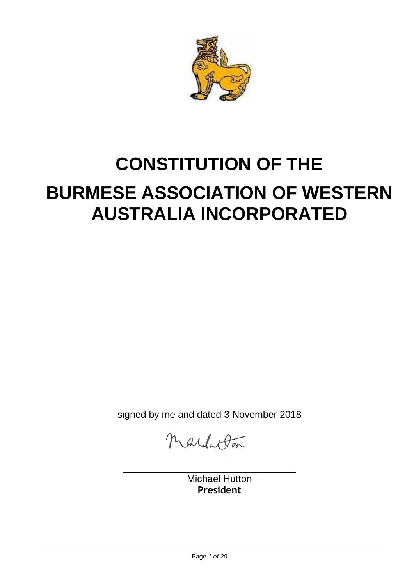

# **CONSTITUTION OF THE BURMESE ASSOCIATION OF WESTERN AUSTRALIA INCORPORATED**

signed by me and dated 3 November 2018

nardaton

\_\_\_\_\_\_\_\_\_\_\_\_\_\_\_\_\_\_\_\_\_\_\_\_\_\_\_\_\_\_\_\_

Michael Hutton **President**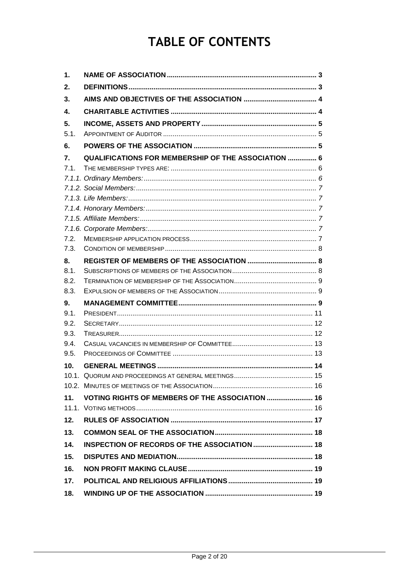## **TABLE OF CONTENTS**

| 1.   |                                                            |  |
|------|------------------------------------------------------------|--|
| 2.   |                                                            |  |
| 3.   |                                                            |  |
| 4.   |                                                            |  |
| 5.   |                                                            |  |
| 5.1. |                                                            |  |
| 6.   |                                                            |  |
| 7.   | <b>QUALIFICATIONS FOR MEMBERSHIP OF THE ASSOCIATION  6</b> |  |
| 7.1. |                                                            |  |
|      |                                                            |  |
|      |                                                            |  |
|      |                                                            |  |
|      |                                                            |  |
|      |                                                            |  |
|      |                                                            |  |
| 7.2. |                                                            |  |
| 7.3. |                                                            |  |
| 8.   |                                                            |  |
| 8.1. |                                                            |  |
| 8.2. |                                                            |  |
| 8.3. |                                                            |  |
| 9.   |                                                            |  |
| 9.1. |                                                            |  |
| 9.2. |                                                            |  |
| 9.3. |                                                            |  |
| 9.4. |                                                            |  |
| 9.5. |                                                            |  |
| 10.  |                                                            |  |
|      |                                                            |  |
|      |                                                            |  |
| 11.  | <b>VOTING RIGHTS OF MEMBERS OF THE ASSOCIATION  16</b>     |  |
|      |                                                            |  |
| 12.  |                                                            |  |
| 13.  |                                                            |  |
| 14.  |                                                            |  |
| 15.  |                                                            |  |
| 16.  |                                                            |  |
| 17.  |                                                            |  |
| 18.  |                                                            |  |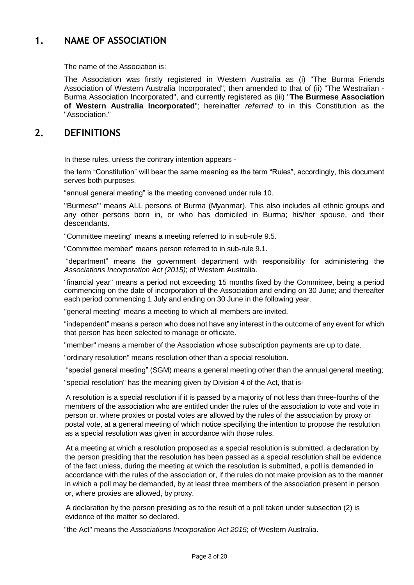## <span id="page-2-0"></span>**1. NAME OF ASSOCIATION**

The name of the Association is:

The Association was firstly registered in Western Australia as (i) "The Burma Friends Association of Western Australia Incorporated", then amended to that of (ii) "The Westralian - Burma Association Incorporated", and currently registered as (iii) "**The Burmese Association of Western Australia Incorporated**"; hereinafter *referred* to in this Constitution as the "Association."

## <span id="page-2-1"></span>**2. DEFINITIONS**

In these rules, unless the contrary intention appears -

the term "Constitution" will bear the same meaning as the term "Rules", accordingly, this document serves both purposes.

"annual general meeting" is the meeting convened under rule 10.

"Burmese"' means ALL persons of Burma (Myanmar). This also includes all ethnic groups and any other persons born in, or who has domiciled in Burma; his/her spouse, and their descendants.

"Committee meeting" means a meeting referred to in sub-rule 9.5.

"Committee member" means person referred to in sub-rule 9.1.

"department" means the government department with responsibility for administering the *Associations Incorporation Act (2015)*; of Western Australia.

"financial year" means a period not exceeding 15 months fixed by the Committee, being a period commencing on the date of incorporation of the Association and ending on 30 June; and thereafter each period commencing 1 July and ending on 30 June in the following year.

"general meeting" means a meeting to which all members are invited.

"independent" means a person who does not have any interest in the outcome of any event for which that person has been selected to manage or officiate.

"member" means a member of the Association whose subscription payments are up to date.

"ordinary resolution" means resolution other than a special resolution.

"special general meeting" (SGM) means a general meeting other than the annual general meeting;

"special resolution" has the meaning given by Division 4 of the Act, that is-

A resolution is a special resolution if it is passed by a majority of not less than three-fourths of the members of the association who are entitled under the rules of the association to vote and vote in person or, where proxies or postal votes are allowed by the rules of the association by proxy or postal vote, at a general meeting of which notice specifying the intention to propose the resolution as a special resolution was given in accordance with those rules.

At a meeting at which a resolution proposed as a special resolution is submitted, a declaration by the person presiding that the resolution has been passed as a special resolution shall be evidence of the fact unless, during the meeting at which the resolution is submitted, a poll is demanded in accordance with the rules of the association or, if the rules do not make provision as to the manner in which a poll may be demanded, by at least three members of the association present in person or, where proxies are allowed, by proxy.

A declaration by the person presiding as to the result of a poll taken under subsection (2) is evidence of the matter so declared.

"the Act" means the *Associations Incorporation Act 2015*; of Western Australia.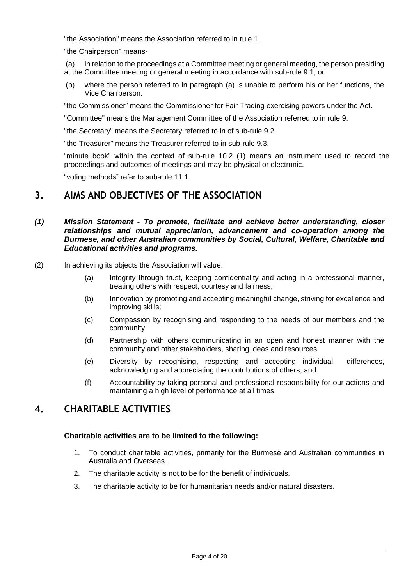"the Association" means the Association referred to in rule 1.

"the Chairperson" means-

in relation to the proceedings at a Committee meeting or general meeting, the person presiding at the Committee meeting or general meeting in accordance with sub-rule 9.1; or

(b) where the person referred to in paragraph (a) is unable to perform his or her functions, the Vice Chairperson.

"the Commissioner" means the Commissioner for Fair Trading exercising powers under the Act.

"Committee" means the Management Committee of the Association referred to in rule 9.

"the Secretary" means the Secretary referred to in of sub-rule 9.2.

"the Treasurer" means the Treasurer referred to in sub-rule 9.3.

"minute book" within the context of sub-rule 10.2 (1) means an instrument used to record the proceedings and outcomes of meetings and may be physical or electronic.

"voting methods" refer to sub-rule 11.1

## <span id="page-3-0"></span>**3. AIMS AND OBJECTIVES OF THE ASSOCIATION**

#### *(1) Mission Statement - To promote, facilitate and achieve better understanding, closer relationships and mutual appreciation, advancement and co-operation among the Burmese, and other Australian communities by Social, Cultural, Welfare, Charitable and Educational activities and programs.*

- (2) In achieving its objects the Association will value:
	- (a) Integrity through trust, keeping confidentiality and acting in a professional manner, treating others with respect, courtesy and fairness;
	- (b) Innovation by promoting and accepting meaningful change, striving for excellence and improving skills;
	- (c) Compassion by recognising and responding to the needs of our members and the community;
	- (d) Partnership with others communicating in an open and honest manner with the community and other stakeholders, sharing ideas and resources;
	- (e) Diversity by recognising, respecting and accepting individual differences, acknowledging and appreciating the contributions of others; and
	- (f) Accountability by taking personal and professional responsibility for our actions and maintaining a high level of performance at all times.

## <span id="page-3-1"></span>**4. CHARITABLE ACTIVITIES**

#### **Charitable activities are to be limited to the following:**

- 1. To conduct charitable activities, primarily for the Burmese and Australian communities in Australia and Overseas.
- 2. The charitable activity is not to be for the benefit of individuals.
- 3. The charitable activity to be for humanitarian needs and/or natural disasters.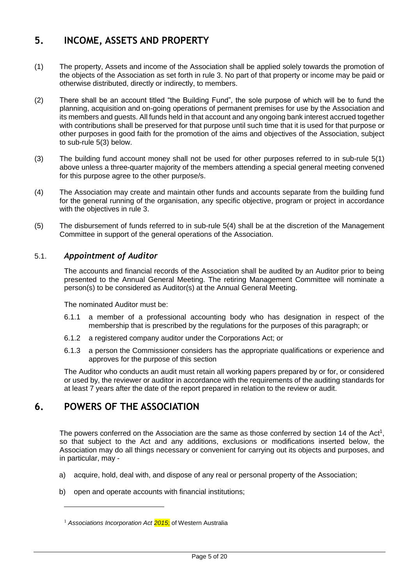## <span id="page-4-0"></span>**5. INCOME, ASSETS AND PROPERTY**

- (1) The property, Assets and income of the Association shall be applied solely towards the promotion of the objects of the Association as set forth in rule 3. No part of that property or income may be paid or otherwise distributed, directly or indirectly, to members.
- (2) There shall be an account titled "the Building Fund", the sole purpose of which will be to fund the planning, acquisition and on-going operations of permanent premises for use by the Association and its members and guests. All funds held in that account and any ongoing bank interest accrued together with contributions shall be preserved for that purpose until such time that it is used for that purpose or other purposes in good faith for the promotion of the aims and objectives of the Association, subject to sub-rule 5(3) below.
- (3) The building fund account money shall not be used for other purposes referred to in sub-rule 5(1) above unless a three-quarter majority of the members attending a special general meeting convened for this purpose agree to the other purpose/s.
- (4) The Association may create and maintain other funds and accounts separate from the building fund for the general running of the organisation, any specific objective, program or project in accordance with the objectives in rule 3.
- (5) The disbursement of funds referred to in sub-rule 5(4) shall be at the discretion of the Management Committee in support of the general operations of the Association.

#### <span id="page-4-1"></span>5.1. *Appointment of Auditor*

The accounts and financial records of the Association shall be audited by an Auditor prior to being presented to the Annual General Meeting. The retiring Management Committee will nominate a person(s) to be considered as Auditor(s) at the Annual General Meeting.

The nominated Auditor must be:

- 6.1.1 a member of a professional accounting body who has designation in respect of the membership that is prescribed by the regulations for the purposes of this paragraph; or
- 6.1.2 a registered company auditor under the Corporations Act; or
- 6.1.3 a person the Commissioner considers has the appropriate qualifications or experience and approves for the purpose of this section

The Auditor who conducts an audit must retain all working papers prepared by or for, or considered or used by, the reviewer or auditor in accordance with the requirements of the auditing standards for at least 7 years after the date of the report prepared in relation to the review or audit.

## <span id="page-4-2"></span>**6. POWERS OF THE ASSOCIATION**

-

The powers conferred on the Association are the same as those conferred by section 14 of the Act<sup>1</sup>, so that subject to the Act and any additions, exclusions or modifications inserted below, the Association may do all things necessary or convenient for carrying out its objects and purposes, and in particular, may -

- a) acquire, hold, deal with, and dispose of any real or personal property of the Association;
- b) open and operate accounts with financial institutions;

<sup>&</sup>lt;sup>1</sup> Associations Incorporation Act 2015; of Western Australia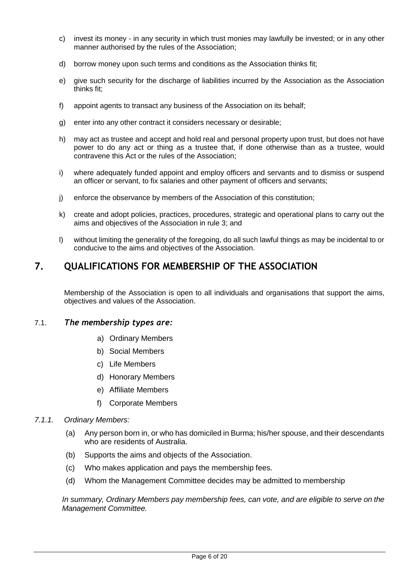- c) invest its money in any security in which trust monies may lawfully be invested; or in any other manner authorised by the rules of the Association;
- d) borrow money upon such terms and conditions as the Association thinks fit;
- e) give such security for the discharge of liabilities incurred by the Association as the Association thinks fit;
- f) appoint agents to transact any business of the Association on its behalf;
- g) enter into any other contract it considers necessary or desirable;
- h) may act as trustee and accept and hold real and personal property upon trust, but does not have power to do any act or thing as a trustee that, if done otherwise than as a trustee, would contravene this Act or the rules of the Association;
- i) where adequately funded appoint and employ officers and servants and to dismiss or suspend an officer or servant, to fix salaries and other payment of officers and servants;
- j) enforce the observance by members of the Association of this constitution;
- k) create and adopt policies, practices, procedures, strategic and operational plans to carry out the aims and objectives of the Association in rule 3; and
- l) without limiting the generality of the foregoing, do all such lawful things as may be incidental to or conducive to the aims and objectives of the Association.

## <span id="page-5-0"></span>**7. QUALIFICATIONS FOR MEMBERSHIP OF THE ASSOCIATION**

Membership of the Association is open to all individuals and organisations that support the aims, objectives and values of the Association.

#### <span id="page-5-1"></span>7.1. *The membership types are:*

- a) Ordinary Members
- b) Social Members
- c) Life Members
- d) Honorary Members
- e) Affiliate Members
- f) Corporate Members

#### <span id="page-5-2"></span>*7.1.1. Ordinary Members:*

- (a) Any person born in, or who has domiciled in Burma; his/her spouse, and their descendants who are residents of Australia.
- (b) Supports the aims and objects of the Association.
- (c) Who makes application and pays the membership fees.
- (d) Whom the Management Committee decides may be admitted to membership

*In summary, Ordinary Members pay membership fees, can vote, and are eligible to serve on the Management Committee.*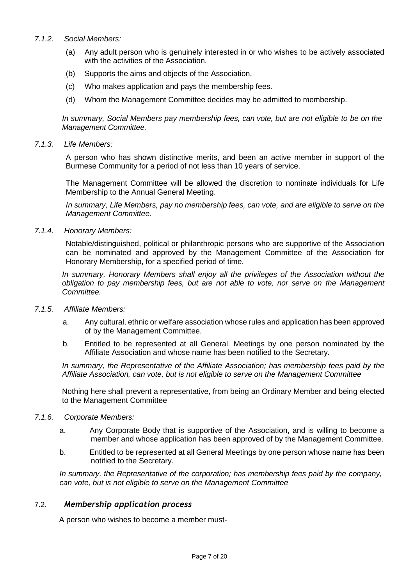#### <span id="page-6-0"></span>*7.1.2. Social Members:*

- (a) Any adult person who is genuinely interested in or who wishes to be actively associated with the activities of the Association.
- (b) Supports the aims and objects of the Association.
- (c) Who makes application and pays the membership fees.
- (d) Whom the Management Committee decides may be admitted to membership.

*In summary, Social Members pay membership fees, can vote, but are not eligible to be on the Management Committee.*

#### <span id="page-6-1"></span>*7.1.3. Life Members:*

A person who has shown distinctive merits, and been an active member in support of the Burmese Community for a period of not less than 10 years of service.

The Management Committee will be allowed the discretion to nominate individuals for Life Membership to the Annual General Meeting.

*In summary, Life Members, pay no membership fees, can vote, and are eligible to serve on the Management Committee.*

<span id="page-6-2"></span>*7.1.4. Honorary Members:*

Notable/distinguished, political or philanthropic persons who are supportive of the Association can be nominated and approved by the Management Committee of the Association for Honorary Membership, for a specified period of time.

*In summary, Honorary Members shall enjoy all the privileges of the Association without the obligation to pay membership fees, but are not able to vote, nor serve on the Management Committee.*

- <span id="page-6-3"></span>*7.1.5. Affiliate Members:*
	- a. Any cultural, ethnic or welfare association whose rules and application has been approved of by the Management Committee.
	- b. Entitled to be represented at all General. Meetings by one person nominated by the Affiliate Association and whose name has been notified to the Secretary.

*In summary, the Representative of the Affiliate Association; has membership fees paid by the Affiliate Association, can vote, but is not eligible to serve on the Management Committee*

Nothing here shall prevent a representative, from being an Ordinary Member and being elected to the Management Committee

- <span id="page-6-4"></span>*7.1.6. Corporate Members:*
	- a. Any Corporate Body that is supportive of the Association, and is willing to become a member and whose application has been approved of by the Management Committee.
	- b. Entitled to be represented at all General Meetings by one person whose name has been notified to the Secretary.

*In summary, the Representative of the corporation; has membership fees paid by the company, can vote, but is not eligible to serve on the Management Committee*

#### <span id="page-6-5"></span>7.2. *Membership application process*

A person who wishes to become a member must-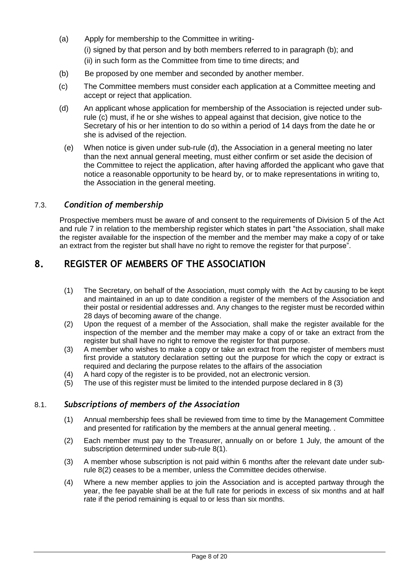- (a) Apply for membership to the Committee in writing- (i) signed by that person and by both members referred to in paragraph (b); and (ii) in such form as the Committee from time to time directs; and
- (b) Be proposed by one member and seconded by another member.
- (c) The Committee members must consider each application at a Committee meeting and accept or reject that application.
- (d) An applicant whose application for membership of the Association is rejected under subrule (c) must, if he or she wishes to appeal against that decision, give notice to the Secretary of his or her intention to do so within a period of 14 days from the date he or she is advised of the rejection.
- (e) When notice is given under sub-rule (d), the Association in a general meeting no later than the next annual general meeting, must either confirm or set aside the decision of the Committee to reject the application, after having afforded the applicant who gave that notice a reasonable opportunity to be heard by, or to make representations in writing to, the Association in the general meeting.

#### <span id="page-7-0"></span>7.3. *Condition of membership*

Prospective members must be aware of and consent to the requirements of Division 5 of the Act and rule 7 in relation to the membership register which states in part "the Association, shall make the register available for the inspection of the member and the member may make a copy of or take an extract from the register but shall have no right to remove the register for that purpose".

## <span id="page-7-1"></span>**8. REGISTER OF MEMBERS OF THE ASSOCIATION**

- (1) The Secretary, on behalf of the Association, must comply with the Act by causing to be kept and maintained in an up to date condition a register of the members of the Association and their postal or residential addresses and. Any changes to the register must be recorded within 28 days of becoming aware of the change.
- (2) Upon the request of a member of the Association, shall make the register available for the inspection of the member and the member may make a copy of or take an extract from the register but shall have no right to remove the register for that purpose.
- (3) A member who wishes to make a copy or take an extract from the register of members must first provide a statutory declaration setting out the purpose for which the copy or extract is required and declaring the purpose relates to the affairs of the association
- (4) A hard copy of the register is to be provided, not an electronic version.
- (5) The use of this register must be limited to the intended purpose declared in 8 (3)

#### <span id="page-7-2"></span>8.1. *Subscriptions of members of the Association*

- (1) Annual membership fees shall be reviewed from time to time by the Management Committee and presented for ratification by the members at the annual general meeting. .
- (2) Each member must pay to the Treasurer, annually on or before 1 July, the amount of the subscription determined under sub-rule 8(1).
- (3) A member whose subscription is not paid within 6 months after the relevant date under subrule 8(2) ceases to be a member, unless the Committee decides otherwise.
- (4) Where a new member applies to join the Association and is accepted partway through the year, the fee payable shall be at the full rate for periods in excess of six months and at half rate if the period remaining is equal to or less than six months.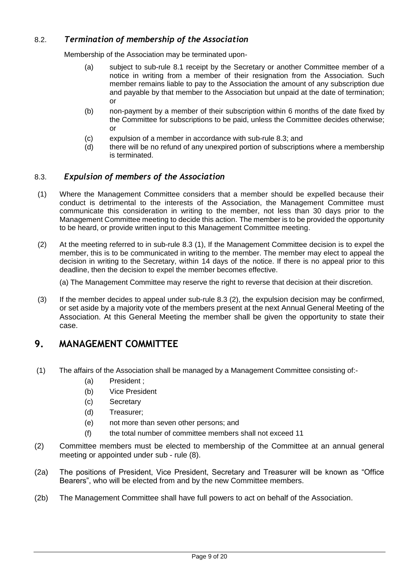## <span id="page-8-0"></span>8.2. *Termination of membership of the Association*

Membership of the Association may be terminated upon-

- (a) subject to sub-rule 8.1 receipt by the Secretary or another Committee member of a notice in writing from a member of their resignation from the Association. Such member remains liable to pay to the Association the amount of any subscription due and payable by that member to the Association but unpaid at the date of termination; or
- (b) non-payment by a member of their subscription within 6 months of the date fixed by the Committee for subscriptions to be paid, unless the Committee decides otherwise; or
- (c) expulsion of a member in accordance with sub-rule 8.3; and
- (d) there will be no refund of any unexpired portion of subscriptions where a membership is terminated.

#### <span id="page-8-1"></span>8.3. *Expulsion of members of the Association*

- (1) Where the Management Committee considers that a member should be expelled because their conduct is detrimental to the interests of the Association, the Management Committee must communicate this consideration in writing to the member, not less than 30 days prior to the Management Committee meeting to decide this action. The member is to be provided the opportunity to be heard, or provide written input to this Management Committee meeting.
- (2) At the meeting referred to in sub-rule 8.3 (1), If the Management Committee decision is to expel the member, this is to be communicated in writing to the member. The member may elect to appeal the decision in writing to the Secretary, within 14 days of the notice. If there is no appeal prior to this deadline, then the decision to expel the member becomes effective.

(a) The Management Committee may reserve the right to reverse that decision at their discretion.

(3) If the member decides to appeal under sub-rule 8.3 (2), the expulsion decision may be confirmed, or set aside by a majority vote of the members present at the next Annual General Meeting of the Association. At this General Meeting the member shall be given the opportunity to state their case.

## <span id="page-8-2"></span>**9. MANAGEMENT COMMITTEE**

- (1) The affairs of the Association shall be managed by a Management Committee consisting of:-
	- (a) President ;
	- (b) Vice President
	- (c) Secretary
	- (d) Treasurer;
	- (e) not more than seven other persons; and
	- (f) the total number of committee members shall not exceed 11
- (2) Committee members must be elected to membership of the Committee at an annual general meeting or appointed under sub - rule (8).
- (2a) The positions of President, Vice President, Secretary and Treasurer will be known as "Office Bearers", who will be elected from and by the new Committee members.
- (2b) The Management Committee shall have full powers to act on behalf of the Association.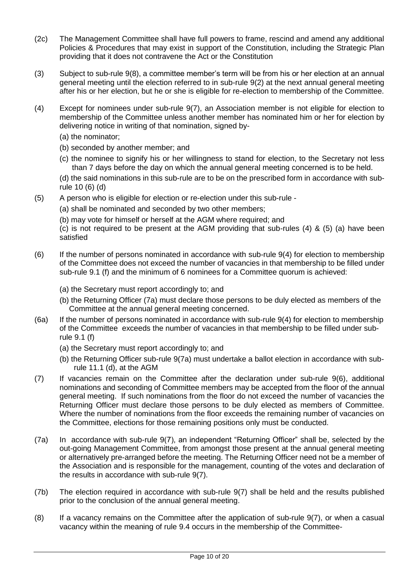- (2c) The Management Committee shall have full powers to frame, rescind and amend any additional Policies & Procedures that may exist in support of the Constitution, including the Strategic Plan providing that it does not contravene the Act or the Constitution
- (3) Subject to sub-rule 9(8), a committee member's term will be from his or her election at an annual general meeting until the election referred to in sub-rule 9(2) at the next annual general meeting after his or her election, but he or she is eligible for re-election to membership of the Committee.
- (4) Except for nominees under sub-rule 9(7), an Association member is not eligible for election to membership of the Committee unless another member has nominated him or her for election by delivering notice in writing of that nomination, signed by-
	- (a) the nominator;
	- (b) seconded by another member; and
	- (c) the nominee to signify his or her willingness to stand for election, to the Secretary not less than 7 days before the day on which the annual general meeting concerned is to be held.

(d) the said nominations in this sub-rule are to be on the prescribed form in accordance with subrule 10 (6) (d)

(5) A person who is eligible for election or re-election under this sub-rule -

(a) shall be nominated and seconded by two other members;

(b) may vote for himself or herself at the AGM where required; and

(c) is not required to be present at the AGM providing that sub-rules (4) & (5) (a) have been satisfied

- $(6)$  If the number of persons nominated in accordance with sub-rule  $9(4)$  for election to membership of the Committee does not exceed the number of vacancies in that membership to be filled under sub-rule 9.1 (f) and the minimum of 6 nominees for a Committee quorum is achieved:
	- (a) the Secretary must report accordingly to; and
	- (b) the Returning Officer (7a) must declare those persons to be duly elected as members of the Committee at the annual general meeting concerned.
- (6a) If the number of persons nominated in accordance with sub-rule 9(4) for election to membership of the Committee exceeds the number of vacancies in that membership to be filled under subrule 9.1 (f)
	- (a) the Secretary must report accordingly to; and
	- (b) the Returning Officer sub-rule 9(7a) must undertake a ballot election in accordance with subrule 11.1 (d), at the AGM
- (7) If vacancies remain on the Committee after the declaration under sub-rule 9(6), additional nominations and seconding of Committee members may be accepted from the floor of the annual general meeting. If such nominations from the floor do not exceed the number of vacancies the Returning Officer must declare those persons to be duly elected as members of Committee. Where the number of nominations from the floor exceeds the remaining number of vacancies on the Committee, elections for those remaining positions only must be conducted.
- (7a) In accordance with sub-rule 9(7), an independent "Returning Officer" shall be, selected by the out-going Management Committee, from amongst those present at the annual general meeting or alternatively pre-arranged before the meeting. The Returning Officer need not be a member of the Association and is responsible for the management, counting of the votes and declaration of the results in accordance with sub-rule 9(7).
- (7b) The election required in accordance with sub-rule 9(7) shall be held and the results published prior to the conclusion of the annual general meeting.
- (8) If a vacancy remains on the Committee after the application of sub-rule 9(7), or when a casual vacancy within the meaning of rule 9.4 occurs in the membership of the Committee-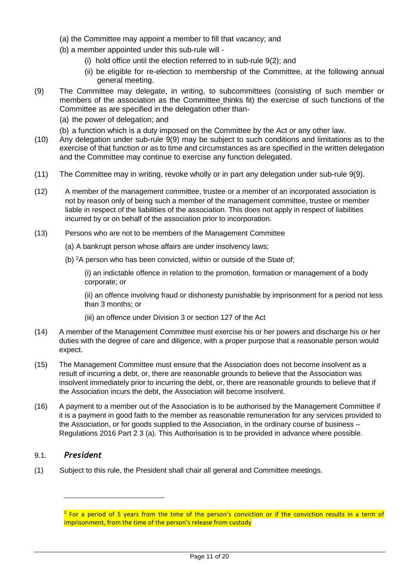- (a) the Committee may appoint a member to fill that vacancy; and
- (b) a member appointed under this sub-rule will
	- (i) hold office until the election referred to in sub-rule 9(2); and
	- (ii) be eligible for re-election to membership of the Committee, at the following annual general meeting.
- (9) The Committee may delegate, in writing, to subcommittees (consisting of such member or members of the association as the Committee thinks fit) the exercise of such functions of the Committee as are specified in the delegation other than-
	- (a) the power of delegation; and
	- (b) a function which is a duty imposed on the Committee by the Act or any other law.
- (10) Any delegation under sub-rule 9(9) may be subject to such conditions and limitations as to the exercise of that function or as to time and circumstances as are specified in the written delegation and the Committee may continue to exercise any function delegated.
- (11) The Committee may in writing, revoke wholly or in part any delegation under sub-rule 9(9).
- (12) A member of the management committee, trustee or a member of an incorporated association is not by reason only of being such a member of the management committee, trustee or member liable in respect of the liabilities of the association. This does not apply in respect of liabilities incurred by or on behalf of the association prior to incorporation.
- (13) Persons who are not to be members of the Management Committee
	- (a) A bankrupt person whose affairs are under insolvency laws;
	- (b) <sup>2</sup>A person who has been convicted, within or outside of the State of;

(i) an indictable offence in relation to the promotion, formation or management of a body corporate; or

(ii) an offence involving fraud or dishonesty punishable by imprisonment for a period not less than 3 months; or

- (iii) an offence under Division 3 or section 127 of the Act
- (14) A member of the Management Committee must exercise his or her powers and discharge his or her duties with the degree of care and diligence, with a proper purpose that a reasonable person would expect.
- (15) The Management Committee must ensure that the Association does not become insolvent as a result of incurring a debt, or, there are reasonable grounds to believe that the Association was insolvent immediately prior to incurring the debt, or, there are reasonable grounds to believe that if the Association incurs the debt, the Association will become insolvent.
- (16) A payment to a member out of the Association is to be authorised by the Management Committee if it is a payment in good faith to the member as reasonable remuneration for any services provided to the Association, or for goods supplied to the Association, in the ordinary course of business – Regulations 2016 Part 2 3 (a). This Authorisation is to be provided in advance where possible.

#### <span id="page-10-0"></span>9.1. *President*

1

(1) Subject to this rule, the President shall chair all general and Committee meetings.

<sup>&</sup>lt;sup>2</sup> For a period of 5 years from the time of the person's conviction or if the conviction results in a term of imprisonment, from the time of the person's release from custody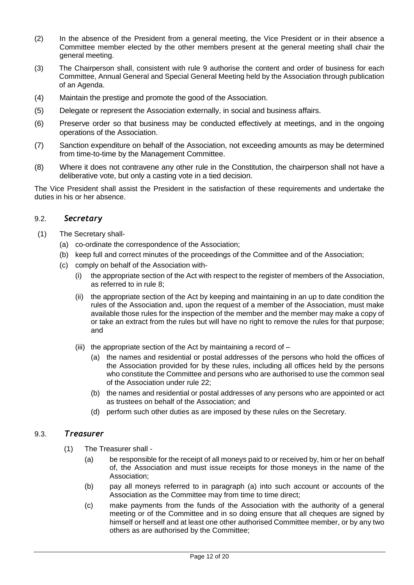- (2) In the absence of the President from a general meeting, the Vice President or in their absence a Committee member elected by the other members present at the general meeting shall chair the general meeting.
- (3) The Chairperson shall, consistent with rule 9 authorise the content and order of business for each Committee, Annual General and Special General Meeting held by the Association through publication of an Agenda.
- (4) Maintain the prestige and promote the good of the Association.
- (5) Delegate or represent the Association externally, in social and business affairs.
- (6) Preserve order so that business may be conducted effectively at meetings, and in the ongoing operations of the Association.
- (7) Sanction expenditure on behalf of the Association, not exceeding amounts as may be determined from time-to-time by the Management Committee.
- (8) Where it does not contravene any other rule in the Constitution, the chairperson shall not have a deliberative vote, but only a casting vote in a tied decision.

The Vice President shall assist the President in the satisfaction of these requirements and undertake the duties in his or her absence.

#### <span id="page-11-0"></span>9.2. *Secretary*

- (1) The Secretary shall-
	- (a) co-ordinate the correspondence of the Association;
	- (b) keep full and correct minutes of the proceedings of the Committee and of the Association;
	- (c) comply on behalf of the Association with-
		- (i) the appropriate section of the Act with respect to the register of members of the Association, as referred to in rule 8;
		- (ii) the appropriate section of the Act by keeping and maintaining in an up to date condition the rules of the Association and, upon the request of a member of the Association, must make available those rules for the inspection of the member and the member may make a copy of or take an extract from the rules but will have no right to remove the rules for that purpose; and
		- (iii) the appropriate section of the Act by maintaining a record of  $-$ 
			- (a) the names and residential or postal addresses of the persons who hold the offices of the Association provided for by these rules, including all offices held by the persons who constitute the Committee and persons who are authorised to use the common seal of the Association under rule 22;
			- (b) the names and residential or postal addresses of any persons who are appointed or act as trustees on behalf of the Association; and
			- (d) perform such other duties as are imposed by these rules on the Secretary.

#### <span id="page-11-1"></span>9.3. *Treasurer*

- (1) The Treasurer shall
	- (a) be responsible for the receipt of all moneys paid to or received by, him or her on behalf of, the Association and must issue receipts for those moneys in the name of the Association;
	- (b) pay all moneys referred to in paragraph (a) into such account or accounts of the Association as the Committee may from time to time direct;
	- (c) make payments from the funds of the Association with the authority of a general meeting or of the Committee and in so doing ensure that all cheques are signed by himself or herself and at least one other authorised Committee member, or by any two others as are authorised by the Committee;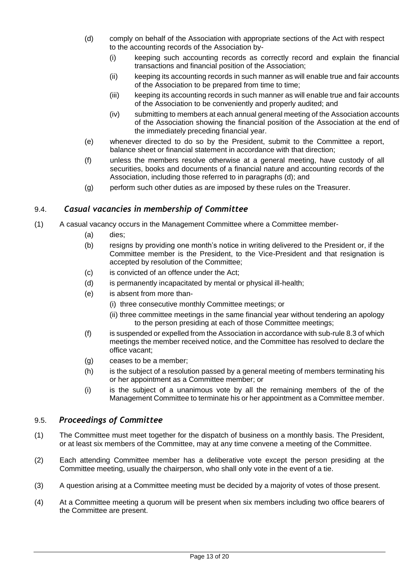- (d) comply on behalf of the Association with appropriate sections of the Act with respect to the accounting records of the Association by-
	- (i) keeping such accounting records as correctly record and explain the financial transactions and financial position of the Association;
	- (ii) keeping its accounting records in such manner as will enable true and fair accounts of the Association to be prepared from time to time;
	- (iii) keeping its accounting records in such manner as will enable true and fair accounts of the Association to be conveniently and properly audited; and
	- (iv) submitting to members at each annual general meeting of the Association accounts of the Association showing the financial position of the Association at the end of the immediately preceding financial year.
- (e) whenever directed to do so by the President, submit to the Committee a report, balance sheet or financial statement in accordance with that direction;
- (f) unless the members resolve otherwise at a general meeting, have custody of all securities, books and documents of a financial nature and accounting records of the Association, including those referred to in paragraphs (d); and
- (g) perform such other duties as are imposed by these rules on the Treasurer.

#### <span id="page-12-0"></span>9.4. *Casual vacancies in membership of Committee*

- (1) A casual vacancy occurs in the Management Committee where a Committee member-
	- (a) dies;
	- (b) resigns by providing one month's notice in writing delivered to the President or, if the Committee member is the President, to the Vice-President and that resignation is accepted by resolution of the Committee;
	- (c) is convicted of an offence under the Act;
	- (d) is permanently incapacitated by mental or physical ill-health;
	- (e) is absent from more than-
		- (i) three consecutive monthly Committee meetings; or
		- (ii) three committee meetings in the same financial year without tendering an apology to the person presiding at each of those Committee meetings;
	- (f) is suspended or expelled from the Association in accordance with sub-rule 8.3 of which meetings the member received notice, and the Committee has resolved to declare the office vacant;
	- (g) ceases to be a member;
	- (h) is the subject of a resolution passed by a general meeting of members terminating his or her appointment as a Committee member; or
	- (i) is the subject of a unanimous vote by all the remaining members of the of the Management Committee to terminate his or her appointment as a Committee member.

#### <span id="page-12-1"></span>9.5. *Proceedings of Committee*

- (1) The Committee must meet together for the dispatch of business on a monthly basis. The President, or at least six members of the Committee, may at any time convene a meeting of the Committee.
- (2) Each attending Committee member has a deliberative vote except the person presiding at the Committee meeting, usually the chairperson, who shall only vote in the event of a tie.
- (3) A question arising at a Committee meeting must be decided by a majority of votes of those present.
- (4) At a Committee meeting a quorum will be present when six members including two office bearers of the Committee are present.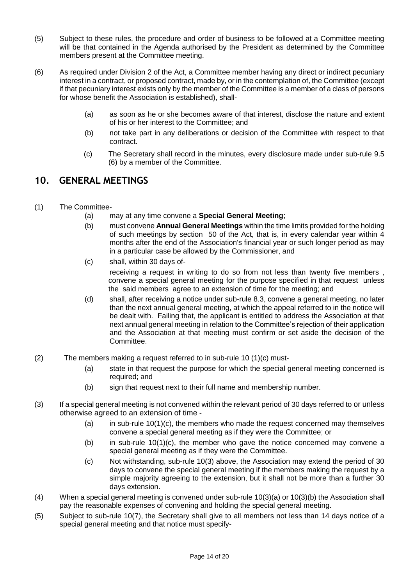- (5) Subject to these rules, the procedure and order of business to be followed at a Committee meeting will be that contained in the Agenda authorised by the President as determined by the Committee members present at the Committee meeting.
- (6) As required under Division 2 of the Act, a Committee member having any direct or indirect pecuniary interest in a contract, or proposed contract, made by, or in the contemplation of, the Committee (except if that pecuniary interest exists only by the member of the Committee is a member of a class of persons for whose benefit the Association is established), shall-
	- (a) as soon as he or she becomes aware of that interest, disclose the nature and extent of his or her interest to the Committee; and
	- (b) not take part in any deliberations or decision of the Committee with respect to that contract.
	- (c) The Secretary shall record in the minutes, every disclosure made under sub-rule 9.5 (6) by a member of the Committee.

## <span id="page-13-0"></span>**10. GENERAL MEETINGS**

- (1) The Committee-
	- (a) may at any time convene a **Special General Meeting**;
	- (b) must convene **Annual General Meetings** within the time limits provided for the holding of such meetings by section 50 of the Act, that is, in every calendar year within 4 months after the end of the Association's financial year or such longer period as may in a particular case be allowed by the Commissioner, and
	- (c) shall, within 30 days ofreceiving a request in writing to do so from not less than twenty five members , convene a special general meeting for the purpose specified in that request unless the said members agree to an extension of time for the meeting; and
	- (d) shall, after receiving a notice under sub-rule 8.3, convene a general meeting, no later than the next annual general meeting, at which the appeal referred to in the notice will be dealt with. Failing that, the applicant is entitled to address the Association at that next annual general meeting in relation to the Committee's rejection of their application and the Association at that meeting must confirm or set aside the decision of the Committee.
- (2) The members making a request referred to in sub-rule 10 (1)(c) must-
	- (a) state in that request the purpose for which the special general meeting concerned is required; and
	- (b) sign that request next to their full name and membership number.
- (3) If a special general meeting is not convened within the relevant period of 30 days referred to or unless otherwise agreed to an extension of time -
	- (a) in sub-rule  $10(1)(c)$ , the members who made the request concerned may themselves convene a special general meeting as if they were the Committee; or
	- (b) in sub-rule 10(1)(c), the member who gave the notice concerned may convene a special general meeting as if they were the Committee.
	- (c) Not withstanding, sub-rule 10(3) above, the Association may extend the period of 30 days to convene the special general meeting if the members making the request by a simple majority agreeing to the extension, but it shall not be more than a further 30 days extension.
- (4) When a special general meeting is convened under sub-rule 10(3)(a) or 10(3)(b) the Association shall pay the reasonable expenses of convening and holding the special general meeting.
- (5) Subject to sub-rule 10(7), the Secretary shall give to all members not less than 14 days notice of a special general meeting and that notice must specify-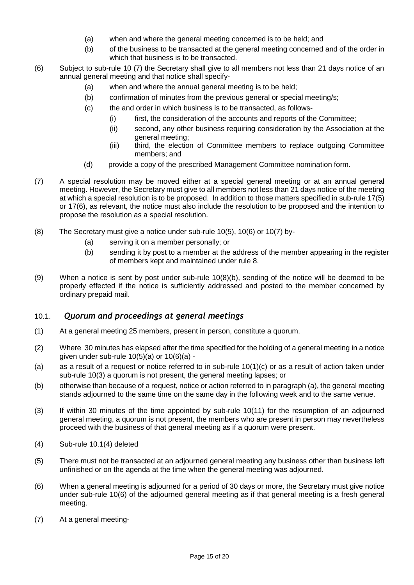- (a) when and where the general meeting concerned is to be held; and
- (b) of the business to be transacted at the general meeting concerned and of the order in which that business is to be transacted.
- (6) Subject to sub-rule 10 (7) the Secretary shall give to all members not less than 21 days notice of an annual general meeting and that notice shall specify-
	- (a) when and where the annual general meeting is to be held;
	- (b) confirmation of minutes from the previous general or special meeting/s;
	- (c) the and order in which business is to be transacted, as follows-
		- (i) first, the consideration of the accounts and reports of the Committee;
		- (ii) second, any other business requiring consideration by the Association at the general meeting;
		- (iii) third, the election of Committee members to replace outgoing Committee members; and
	- (d) provide a copy of the prescribed Management Committee nomination form.
- (7) A special resolution may be moved either at a special general meeting or at an annual general meeting. However, the Secretary must give to all members not less than 21 days notice of the meeting at which a special resolution is to be proposed. In addition to those matters specified in sub-rule 17(5) or 17(6), as relevant, the notice must also include the resolution to be proposed and the intention to propose the resolution as a special resolution.
- (8) The Secretary must give a notice under sub-rule 10(5), 10(6) or 10(7) by-
	- (a) serving it on a member personally; or
	- (b) sending it by post to a member at the address of the member appearing in the register of members kept and maintained under rule 8.
- (9) When a notice is sent by post under sub-rule 10(8)(b), sending of the notice will be deemed to be properly effected if the notice is sufficiently addressed and posted to the member concerned by ordinary prepaid mail.

#### <span id="page-14-0"></span>10.1. *Quorum and proceedings at general meetings*

- (1) At a general meeting 25 members, present in person, constitute a quorum.
- (2) Where 30 minutes has elapsed after the time specified for the holding of a general meeting in a notice given under sub-rule  $10(5)(a)$  or  $10(6)(a)$  -
- (a) as a result of a request or notice referred to in sub-rule  $10(1)(c)$  or as a result of action taken under sub-rule 10(3) a quorum is not present, the general meeting lapses; or
- (b) otherwise than because of a request, notice or action referred to in paragraph (a), the general meeting stands adjourned to the same time on the same day in the following week and to the same venue.
- (3) If within 30 minutes of the time appointed by sub-rule 10(11) for the resumption of an adjourned general meeting, a quorum is not present, the members who are present in person may nevertheless proceed with the business of that general meeting as if a quorum were present.
- (4) Sub-rule 10.1(4) deleted
- (5) There must not be transacted at an adjourned general meeting any business other than business left unfinished or on the agenda at the time when the general meeting was adjourned.
- (6) When a general meeting is adjourned for a period of 30 days or more, the Secretary must give notice under sub-rule 10(6) of the adjourned general meeting as if that general meeting is a fresh general meeting.
- (7) At a general meeting-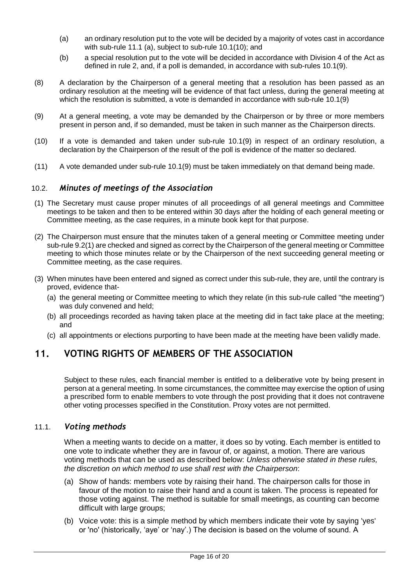- (a) an ordinary resolution put to the vote will be decided by a majority of votes cast in accordance with sub-rule 11.1 (a), subject to sub-rule 10.1(10); and
- (b) a special resolution put to the vote will be decided in accordance with Division 4 of the Act as defined in rule 2, and, if a poll is demanded, in accordance with sub-rules 10.1(9).
- (8) A declaration by the Chairperson of a general meeting that a resolution has been passed as an ordinary resolution at the meeting will be evidence of that fact unless, during the general meeting at which the resolution is submitted, a vote is demanded in accordance with sub-rule 10.1(9)
- (9) At a general meeting, a vote may be demanded by the Chairperson or by three or more members present in person and, if so demanded, must be taken in such manner as the Chairperson directs.
- (10) If a vote is demanded and taken under sub-rule 10.1(9) in respect of an ordinary resolution, a declaration by the Chairperson of the result of the poll is evidence of the matter so declared.
- <span id="page-15-0"></span>(11) A vote demanded under sub-rule 10.1(9) must be taken immediately on that demand being made.

#### 10.2. *Minutes of meetings of the Association*

- (1) The Secretary must cause proper minutes of all proceedings of all general meetings and Committee meetings to be taken and then to be entered within 30 days after the holding of each general meeting or Committee meeting, as the case requires, in a minute book kept for that purpose.
- (2) The Chairperson must ensure that the minutes taken of a general meeting or Committee meeting under sub-rule 9.2(1) are checked and signed as correct by the Chairperson of the general meeting or Committee meeting to which those minutes relate or by the Chairperson of the next succeeding general meeting or Committee meeting, as the case requires.
- (3) When minutes have been entered and signed as correct under this sub-rule, they are, until the contrary is proved, evidence that-
	- (a) the general meeting or Committee meeting to which they relate (in this sub-rule called "the meeting") was duly convened and held;
	- (b) all proceedings recorded as having taken place at the meeting did in fact take place at the meeting; and
	- (c) all appointments or elections purporting to have been made at the meeting have been validly made.

## <span id="page-15-1"></span>**11. VOTING RIGHTS OF MEMBERS OF THE ASSOCIATION**

Subject to these rules, each financial member is entitled to a deliberative vote by being present in person at a general meeting. In some circumstances, the committee may exercise the option of using a prescribed form to enable members to vote through the post providing that it does not contravene other voting processes specified in the Constitution. Proxy votes are not permitted.

#### <span id="page-15-2"></span>11.1. *Voting methods*

When a meeting wants to decide on a matter, it does so by voting. Each member is entitled to one vote to indicate whether they are in favour of, or against, a motion. There are various voting methods that can be used as described below: *Unless otherwise stated in these rules, the discretion on which method to use shall rest with the Chairperson*:

- (a) Show of hands: members vote by raising their hand. The chairperson calls for those in favour of the motion to raise their hand and a count is taken. The process is repeated for those voting against. The method is suitable for small meetings, as counting can become difficult with large groups;
- (b) Voice vote: this is a simple method by which members indicate their vote by saying 'yes' or 'no' (historically, 'aye' or 'nay'.) The decision is based on the volume of sound. A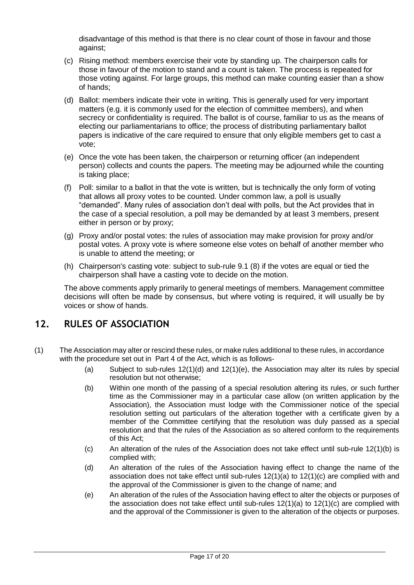disadvantage of this method is that there is no clear count of those in favour and those against;

- (c) Rising method: members exercise their vote by standing up. The chairperson calls for those in favour of the motion to stand and a count is taken. The process is repeated for those voting against. For large groups, this method can make counting easier than a show of hands;
- (d) Ballot: members indicate their vote in writing. This is generally used for very important matters (e.g. it is commonly used for the election of committee members), and when secrecy or confidentiality is required. The ballot is of course, familiar to us as the means of electing our parliamentarians to office; the process of distributing parliamentary ballot papers is indicative of the care required to ensure that only eligible members get to cast a vote;
- (e) Once the vote has been taken, the chairperson or returning officer (an independent person) collects and counts the papers. The meeting may be adjourned while the counting is taking place;
- (f) Poll: similar to a ballot in that the vote is written, but is technically the only form of voting that allows all proxy votes to be counted. Under common law, a poll is usually "demanded". Many rules of association don't deal with polls, but the Act provides that in the case of a special resolution, a poll may be demanded by at least 3 members, present either in person or by proxy;
- (g) Proxy and/or postal votes: the rules of association may make provision for proxy and/or postal votes. A proxy vote is where someone else votes on behalf of another member who is unable to attend the meeting; or
- (h) Chairperson's casting vote: subject to sub-rule 9.1 (8) if the votes are equal or tied the chairperson shall have a casting vote to decide on the motion.

The above comments apply primarily to general meetings of members. Management committee decisions will often be made by consensus, but where voting is required, it will usually be by voices or show of hands.

## <span id="page-16-0"></span>**12. RULES OF ASSOCIATION**

- (1) The Association may alter or rescind these rules, or make rules additional to these rules, in accordance with the procedure set out in Part 4 of the Act, which is as follows-
	- (a) Subject to sub-rules 12(1)(d) and 12(1)(e), the Association may alter its rules by special resolution but not otherwise;
	- (b) Within one month of the passing of a special resolution altering its rules, or such further time as the Commissioner may in a particular case allow (on written application by the Association), the Association must lodge with the Commissioner notice of the special resolution setting out particulars of the alteration together with a certificate given by a member of the Committee certifying that the resolution was duly passed as a special resolution and that the rules of the Association as so altered conform to the requirements of this Act;
	- (c) An alteration of the rules of the Association does not take effect until sub-rule 12(1)(b) is complied with;
	- (d) An alteration of the rules of the Association having effect to change the name of the association does not take effect until sub-rules  $12(1)(a)$  to  $12(1)(c)$  are complied with and the approval of the Commissioner is given to the change of name; and
	- (e) An alteration of the rules of the Association having effect to alter the objects or purposes of the association does not take effect until sub-rules  $12(1)(a)$  to  $12(1)(c)$  are complied with and the approval of the Commissioner is given to the alteration of the objects or purposes.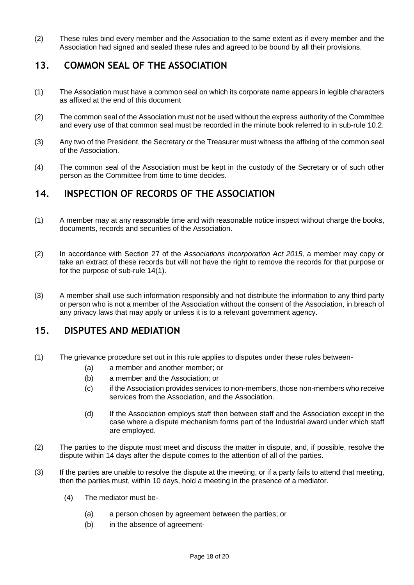(2) These rules bind every member and the Association to the same extent as if every member and the Association had signed and sealed these rules and agreed to be bound by all their provisions.

## <span id="page-17-0"></span>**13. COMMON SEAL OF THE ASSOCIATION**

- (1) The Association must have a common seal on which its corporate name appears in legible characters as affixed at the end of this document
- (2) The common seal of the Association must not be used without the express authority of the Committee and every use of that common seal must be recorded in the minute book referred to in sub-rule 10.2.
- (3) Any two of the President, the Secretary or the Treasurer must witness the affixing of the common seal of the Association.
- (4) The common seal of the Association must be kept in the custody of the Secretary or of such other person as the Committee from time to time decides.

## <span id="page-17-1"></span>**14. INSPECTION OF RECORDS OF THE ASSOCIATION**

- (1) A member may at any reasonable time and with reasonable notice inspect without charge the books, documents, records and securities of the Association.
- (2) In accordance with Section 27 of the *Associations Incorporation Act 2015,* a member may copy or take an extract of these records but will not have the right to remove the records for that purpose or for the purpose of sub-rule 14(1).
- (3) A member shall use such information responsibly and not distribute the information to any third party or person who is not a member of the Association without the consent of the Association, in breach of any privacy laws that may apply or unless it is to a relevant government agency.

## <span id="page-17-2"></span>**15. DISPUTES AND MEDIATION**

- (1) The grievance procedure set out in this rule applies to disputes under these rules between-
	- (a) a member and another member; or
	- (b) a member and the Association; or
	- (c) if the Association provides services to non-members, those non-members who receive services from the Association, and the Association.
	- (d) If the Association employs staff then between staff and the Association except in the case where a dispute mechanism forms part of the Industrial award under which staff are employed.
- (2) The parties to the dispute must meet and discuss the matter in dispute, and, if possible, resolve the dispute within 14 days after the dispute comes to the attention of all of the parties.
- (3) If the parties are unable to resolve the dispute at the meeting, or if a party fails to attend that meeting, then the parties must, within 10 days, hold a meeting in the presence of a mediator.
	- (4) The mediator must be-
		- (a) a person chosen by agreement between the parties; or
		- (b) in the absence of agreement-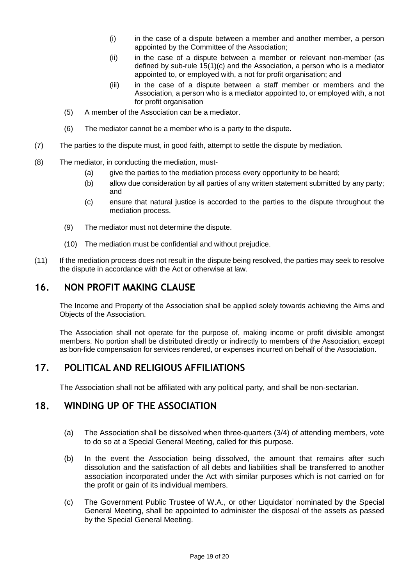- (i) in the case of a dispute between a member and another member, a person appointed by the Committee of the Association;
- (ii) in the case of a dispute between a member or relevant non-member (as defined by sub-rule 15(1)(c) and the Association, a person who is a mediator appointed to, or employed with, a not for profit organisation; and
- (iii) in the case of a dispute between a staff member or members and the Association, a person who is a mediator appointed to, or employed with, a not for profit organisation
- (5) A member of the Association can be a mediator.
- (6) The mediator cannot be a member who is a party to the dispute.
- (7) The parties to the dispute must, in good faith, attempt to settle the dispute by mediation.
- (8) The mediator, in conducting the mediation, must-
	- (a) give the parties to the mediation process every opportunity to be heard;
	- (b) allow due consideration by all parties of any written statement submitted by any party; and
	- (c) ensure that natural justice is accorded to the parties to the dispute throughout the mediation process.
	- (9) The mediator must not determine the dispute.
	- (10) The mediation must be confidential and without prejudice.
- (11) If the mediation process does not result in the dispute being resolved, the parties may seek to resolve the dispute in accordance with the Act or otherwise at law.

## <span id="page-18-0"></span>**16. NON PROFIT MAKING CLAUSE**

The Income and Property of the Association shall be applied solely towards achieving the Aims and Objects of the Association.

The Association shall not operate for the purpose of, making income or profit divisible amongst members. No portion shall be distributed directly or indirectly to members of the Association, except as bon-fide compensation for services rendered, or expenses incurred on behalf of the Association.

## <span id="page-18-1"></span>**17. POLITICAL AND RELIGIOUS AFFILIATIONS**

The Association shall not be affiliated with any political party, and shall be non-sectarian.

## <span id="page-18-2"></span>**18. WINDING UP OF THE ASSOCIATION**

- (a) The Association shall be dissolved when three-quarters (3/4) of attending members, vote to do so at a Special General Meeting, called for this purpose.
- (b) In the event the Association being dissolved, the amount that remains after such dissolution and the satisfaction of all debts and liabilities shall be transferred to another association incorporated under the Act with similar purposes which is not carried on for the profit or gain of its individual members.
- (c) The Government Public Trustee of W.A., or other Liquidator' nominated by the Special General Meeting, shall be appointed to administer the disposal of the assets as passed by the Special General Meeting.